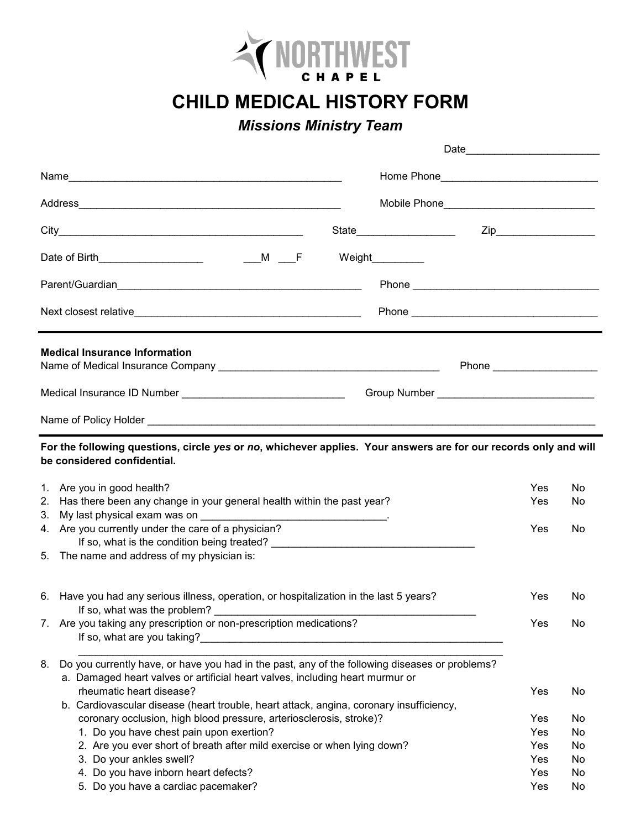

**CHILD MEDICAL HISTORY FORM**

## *Missions Ministry Team*

|    |                                                                                                                                                 | Date               |          |
|----|-------------------------------------------------------------------------------------------------------------------------------------------------|--------------------|----------|
|    |                                                                                                                                                 |                    |          |
|    | Mobile Phone__________________________________                                                                                                  |                    |          |
|    | State_____________________                                                                                                                      |                    |          |
|    | Weight__________                                                                                                                                |                    |          |
|    |                                                                                                                                                 |                    |          |
|    |                                                                                                                                                 |                    |          |
|    | <b>Medical Insurance Information</b>                                                                                                            | Phone <b>Phone</b> |          |
|    |                                                                                                                                                 |                    |          |
|    | Medical Insurance ID Number ___________________________________                                                                                 |                    |          |
|    |                                                                                                                                                 |                    |          |
|    | For the following questions, circle yes or no, whichever applies. Your answers are for our records only and will<br>be considered confidential. |                    |          |
| 1. | Are you in good health?                                                                                                                         | Yes                | No       |
| 2. | Has there been any change in your general health within the past year?                                                                          | Yes                | No       |
| 3. | My last physical exam was on                                                                                                                    |                    |          |
| 4. | Are you currently under the care of a physician?                                                                                                | Yes                | No       |
|    |                                                                                                                                                 |                    |          |
| 5. | The name and address of my physician is:                                                                                                        |                    |          |
|    | 6. Have you had any serious illness, operation, or hospitalization in the last 5 years?<br>If so, what was the problem?                         | Yes                | No       |
| 7. | Are you taking any prescription or non-prescription medications?<br>If so, what are you taking?_                                                | Yes                | No       |
| 8. | Do you currently have, or have you had in the past, any of the following diseases or problems?                                                  |                    |          |
|    | a. Damaged heart valves or artificial heart valves, including heart murmur or                                                                   |                    |          |
|    | rheumatic heart disease?                                                                                                                        | Yes                | No       |
|    | b. Cardiovascular disease (heart trouble, heart attack, angina, coronary insufficiency,                                                         |                    |          |
|    | coronary occlusion, high blood pressure, arteriosclerosis, stroke)?                                                                             | Yes                | No       |
|    | 1. Do you have chest pain upon exertion?<br>2. Are you ever short of breath after mild exercise or when lying down?                             | Yes<br>Yes         | No<br>No |
|    | 3. Do your ankles swell?                                                                                                                        | Yes                | No       |
|    | 4. Do you have inborn heart defects?                                                                                                            | Yes                | No       |
|    | 5. Do you have a cardiac pacemaker?                                                                                                             | Yes                | No       |